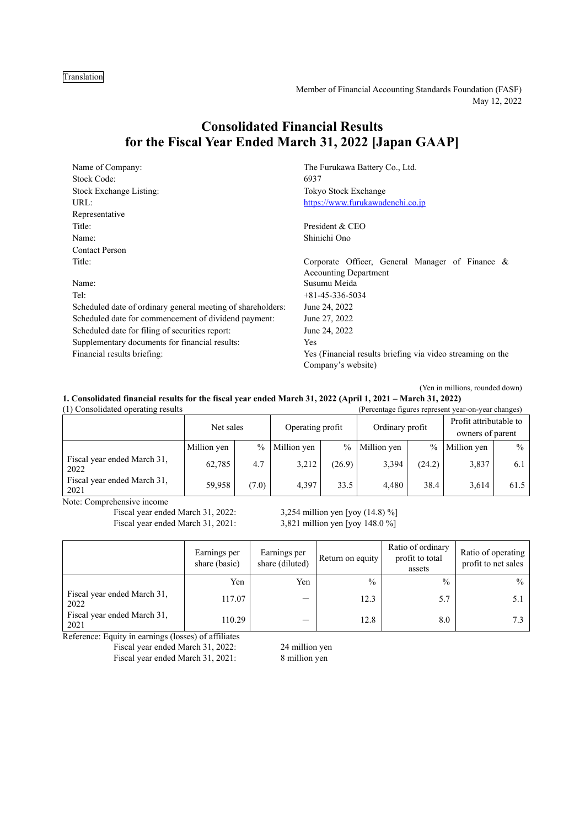## Translation

Member of Financial Accounting Standards Foundation (FASF) May 12, 2022

# **Consolidated Financial Results for the Fiscal Year Ended March 31, 2022 [Japan GAAP]**

| Name of Company:                                            | The Furukawa Battery Co., Ltd.                             |  |  |
|-------------------------------------------------------------|------------------------------------------------------------|--|--|
| Stock Code:                                                 | 6937                                                       |  |  |
| Stock Exchange Listing:                                     | Tokyo Stock Exchange                                       |  |  |
| URL:                                                        | https://www.furukawadenchi.co.jp                           |  |  |
| Representative                                              |                                                            |  |  |
| Title:                                                      | President & CEO                                            |  |  |
| Name:                                                       | Shinichi Ono                                               |  |  |
| <b>Contact Person</b>                                       |                                                            |  |  |
| Title:                                                      | Corporate Officer, General Manager of Finance &            |  |  |
|                                                             | <b>Accounting Department</b>                               |  |  |
| Name:                                                       | Susumu Meida                                               |  |  |
| Tel:                                                        | $+81-45-336-5034$                                          |  |  |
| Scheduled date of ordinary general meeting of shareholders: | June 24, 2022                                              |  |  |
| Scheduled date for commencement of dividend payment:        | June 27, 2022                                              |  |  |
| Scheduled date for filing of securities report:             | June 24, 2022                                              |  |  |
| Supplementary documents for financial results:              | Yes                                                        |  |  |
| Financial results briefing:                                 | Yes (Financial results briefing via video streaming on the |  |  |
|                                                             | Company's website)                                         |  |  |

(Yen in millions, rounded down)

| 1. Consolidated financial results for the fiscal year ended March 31, 2022 (April 1, 2021 – March 31, 2022) |  |  |  |  |  |  |
|-------------------------------------------------------------------------------------------------------------|--|--|--|--|--|--|
|-------------------------------------------------------------------------------------------------------------|--|--|--|--|--|--|

| (1) Consolidated operating results<br>(Percentage figures represent year-on-year changes) |             |               |                  |               |                 |        |                                            |               |
|-------------------------------------------------------------------------------------------|-------------|---------------|------------------|---------------|-----------------|--------|--------------------------------------------|---------------|
|                                                                                           | Net sales   |               | Operating profit |               | Ordinary profit |        | Profit attributable to<br>owners of parent |               |
|                                                                                           | Million yen | $\frac{0}{0}$ | Million yen      | $\frac{0}{0}$ | Million yen     | $\%$   | Million yen                                | $\frac{0}{0}$ |
| Fiscal year ended March 31,<br>2022                                                       | 62,785      | 4.7           | 3,212            | (26.9)        | 3,394           | (24.2) | 3,837                                      | 6.1           |
| Fiscal year ended March 31,<br>2021                                                       | 59.958      | (7.0)         | 4.397            | 33.5          | 4.480           | 38.4   | 3.614                                      | 61.5          |

Note: Comprehensive income

Fiscal year ended March 31, 2022: 3,254 million yen [yoy (14.8) %]<br>Fiscal year ended March 31, 2021: 3,821 million yen [yoy 148.0 %] Fiscal year ended March 31, 2021:

|                                     | Earnings per<br>share (basic) | Earnings per<br>share (diluted) | Return on equity | Ratio of ordinary<br>profit to total<br>assets | Ratio of operating<br>profit to net sales |
|-------------------------------------|-------------------------------|---------------------------------|------------------|------------------------------------------------|-------------------------------------------|
|                                     | Yen                           | Yen                             | $\frac{0}{0}$    | $\frac{0}{0}$                                  | $\frac{0}{0}$                             |
| Fiscal year ended March 31,<br>2022 | 117.07                        |                                 | 12.3             | 5.7                                            | ا ک                                       |
| Fiscal year ended March 31,<br>2021 | 110.29                        |                                 | 12.8             | 8.0                                            |                                           |

Reference: Equity in earnings (losses) of affiliates

Fiscal year ended March 31, 2022: 24 million yen

Fiscal year ended March 31, 2021: 8 million yen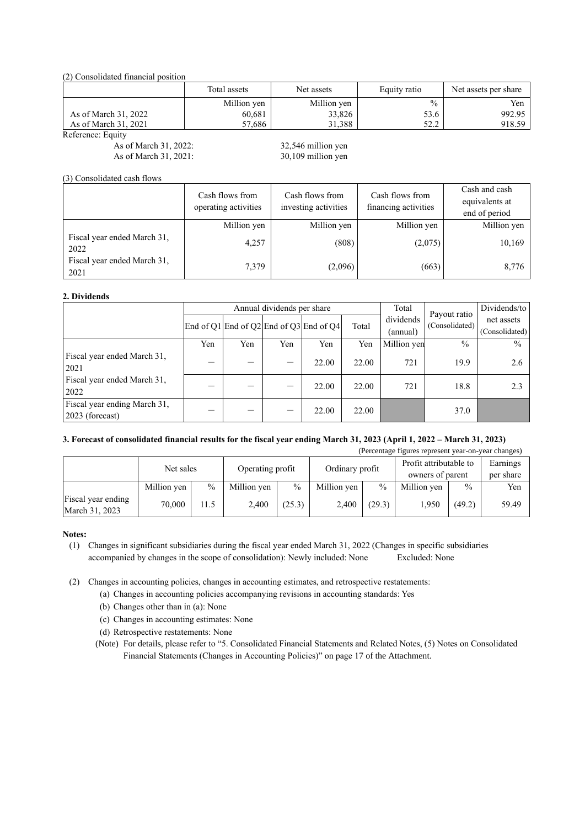(2) Consolidated financial position

|                      | Total assets | Net assets  | Equity ratio | Net assets per share |
|----------------------|--------------|-------------|--------------|----------------------|
|                      | Million yen  | Million yen | $\%$         | Yen                  |
| As of March 31, 2022 | 60,681       | 33,826      | 53.6         | 992.95               |
| As of March 31, 2021 | 57,686       | 31.388      | 522<br>ے.∠ر  | 918.59               |

Reference: Equity

As of March 31, 2022: 32,546 million yen As of March 31, 2021: 30,109 million yen

(3) Consolidated cash flows

|                                     | Cash flows from<br>operating activities | Cash flows from<br>investing activities | Cash flows from<br>financing activities | Cash and cash<br>equivalents at<br>end of period |
|-------------------------------------|-----------------------------------------|-----------------------------------------|-----------------------------------------|--------------------------------------------------|
|                                     | Million yen                             | Million yen                             | Million yen                             | Million yen                                      |
| Fiscal year ended March 31,<br>2022 | 4,257                                   | (808)                                   | (2,075)                                 | 10,169                                           |
| Fiscal year ended March 31,<br>2021 | 7,379                                   | (2,096)                                 | (663)                                   | 8,776                                            |

## **2. Dividends**

|                                                 |     | Annual dividends per share |                                 |                                         |       |             | Payout ratio   | Dividends/to   |
|-------------------------------------------------|-----|----------------------------|---------------------------------|-----------------------------------------|-------|-------------|----------------|----------------|
|                                                 |     |                            |                                 | End of Q1 End of Q2 End of Q3 End of Q4 | Total | dividends   | (Consolidated) | net assets     |
|                                                 |     |                            |                                 |                                         |       | (annual)    |                | (Consolidated) |
|                                                 | Yen | Yen                        | Yen                             | Yen                                     | Yen   | Million yen | $\frac{0}{0}$  | $\frac{0}{0}$  |
| Fiscal year ended March 31,<br>2021             |     | —                          | $\overbrace{\phantom{1232211}}$ | 22.00                                   | 22.00 | 721         | 19.9           | 2.6            |
| Fiscal year ended March 31,<br>2022             |     |                            | and the                         | 22.00                                   | 22.00 | 721         | 18.8           | 2.3            |
| Fiscal year ending March 31,<br>2023 (forecast) |     |                            |                                 | 22.00                                   | 22.00 |             | 37.0           |                |

## **3. Forecast of consolidated financial results for the fiscal year ending March 31, 2023 (April 1, 2022 – March 31, 2023)**

|                                      | (Percentage figures represent year-on-year changes) |                  |             |                 |             |                        |                  |               |           |  |  |
|--------------------------------------|-----------------------------------------------------|------------------|-------------|-----------------|-------------|------------------------|------------------|---------------|-----------|--|--|
| Net sales                            |                                                     | Operating profit |             | Ordinary profit |             | Profit attributable to |                  | Earnings      |           |  |  |
|                                      |                                                     |                  |             |                 |             |                        | owners of parent |               | per share |  |  |
|                                      | Million yen                                         | $\%$             | Million yen | $\frac{0}{0}$   | Million yen | $\frac{0}{0}$          | Million yen      | $\frac{0}{0}$ | Yen       |  |  |
| Fiscal year ending<br>March 31, 2023 | 70,000                                              | 11.5             | 2.400       | (25.3)          | 2,400       | (29.3)                 | 1,950            | (49.2)        | 59.49     |  |  |

### **Notes:**

(1) Changes in significant subsidiaries during the fiscal year ended March 31, 2022 (Changes in specific subsidiaries accompanied by changes in the scope of consolidation): Newly included: None Excluded: None

(2) Changes in accounting policies, changes in accounting estimates, and retrospective restatements:

(a) Changes in accounting policies accompanying revisions in accounting standards: Yes

(b) Changes other than in (a): None

(c) Changes in accounting estimates: None

(d) Retrospective restatements: None

(Note) For details, please refer to "5. Consolidated Financial Statements and Related Notes, (5) Notes on Consolidated Financial Statements (Changes in Accounting Policies)" on page 17 of the Attachment.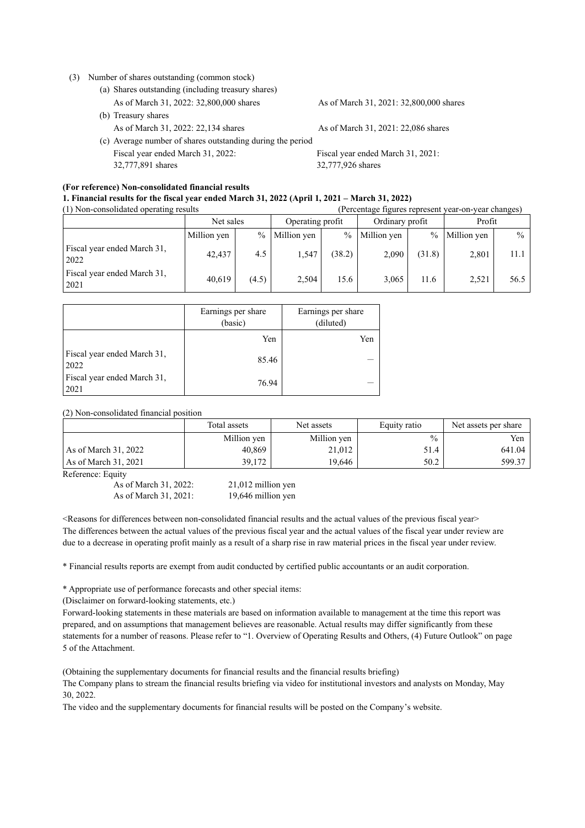#### (3) Number of shares outstanding (common stock)

- (a) Shares outstanding (including treasury shares) As of March 31, 2022: 32,800,000 shares As of March 31, 2021: 32,800,000 shares (b) Treasury shares
	-
- (c) Average number of shares outstanding during the period Fiscal year ended March 31, 2022: 32,777,891 shares

As of March 31, 2022: 22,134 shares As of March 31, 2021: 22,086 shares

Fiscal year ended March 31, 2021: 32,777,926 shares

## **(For reference) Non-consolidated financial results**

| 1. Financial results for the fiscal year ended March 31, 2022 (April 1, 2021 – March 31, 2022) |                                                   |
|------------------------------------------------------------------------------------------------|---------------------------------------------------|
| $(1)$ Non-consolidated operating results                                                       | Dependence tigures represent your on your changes |

| (1) Non-consolidated operating results |             |               |                  |               | refectuage ligures represent year-on-year changes) |               |             |               |
|----------------------------------------|-------------|---------------|------------------|---------------|----------------------------------------------------|---------------|-------------|---------------|
|                                        | Net sales   |               | Operating profit |               | Ordinary profit                                    |               | Profit      |               |
|                                        | Million yen | $\frac{0}{0}$ | Million yen      | $\frac{0}{0}$ | Million yen                                        | $\frac{0}{0}$ | Million yen | $\frac{0}{0}$ |
| Fiscal year ended March 31,<br>2022    | 42,437      | 4.5           | 1,547            | (38.2)        | 2.090                                              | (31.8)        | 2,801       | 11.1          |
| Fiscal year ended March 31,<br>2021    | 40.619      | (4.5)         | 2,504            | 15.6          | 3.065                                              | 11.6          | 2.521       | 56.5          |

|                                     | Earnings per share<br>(basic) | Earnings per share<br>(diluted) |
|-------------------------------------|-------------------------------|---------------------------------|
|                                     | Yen                           | Yen                             |
| Fiscal year ended March 31,<br>2022 | 85.46                         |                                 |
| Fiscal year ended March 31,<br>2021 | 76.94                         |                                 |

## (2) Non-consolidated financial position

|                        | Total assets | Net assets  | Equity ratio  | Net assets per share |
|------------------------|--------------|-------------|---------------|----------------------|
|                        | Million yen  | Million yen | $\frac{0}{0}$ | Yen                  |
| As of March 31, 2022   | 40,869       | 21,012      | 51.4          | 641.04               |
| As of March $31, 2021$ | 39,172       | 19.646      | 50.2          | 599.37               |

Reference: Equity

As of March 31, 2022: 21,012 million yen As of March 31, 2021: 19,646 million yen

<Reasons for differences between non-consolidated financial results and the actual values of the previous fiscal year> The differences between the actual values of the previous fiscal year and the actual values of the fiscal year under review are due to a decrease in operating profit mainly as a result of a sharp rise in raw material prices in the fiscal year under review.

\* Financial results reports are exempt from audit conducted by certified public accountants or an audit corporation.

\* Appropriate use of performance forecasts and other special items:

(Disclaimer on forward-looking statements, etc.)

Forward-looking statements in these materials are based on information available to management at the time this report was prepared, and on assumptions that management believes are reasonable. Actual results may differ significantly from these statements for a number of reasons. Please refer to "1. Overview of Operating Results and Others, (4) Future Outlook" on page 5 of the Attachment.

(Obtaining the supplementary documents for financial results and the financial results briefing)

The Company plans to stream the financial results briefing via video for institutional investors and analysts on Monday, May 30, 2022.

The video and the supplementary documents for financial results will be posted on the Company's website.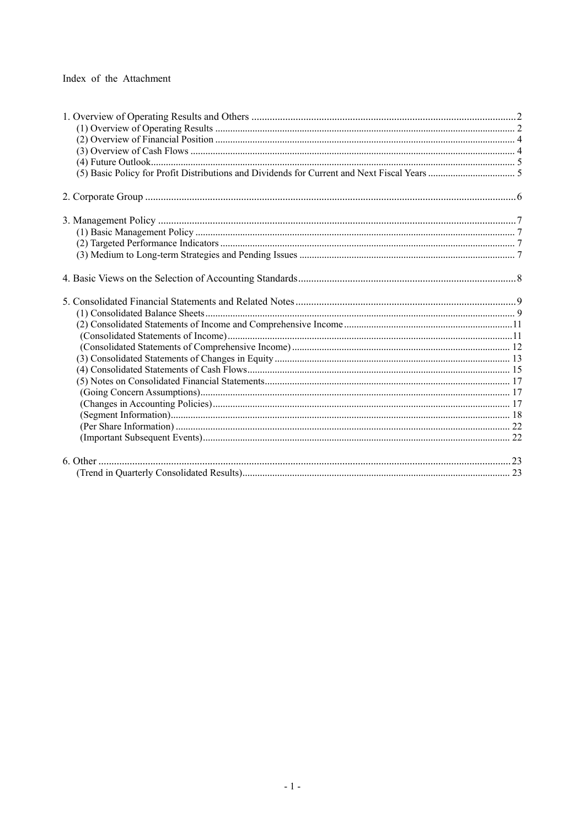## Index of the Attachment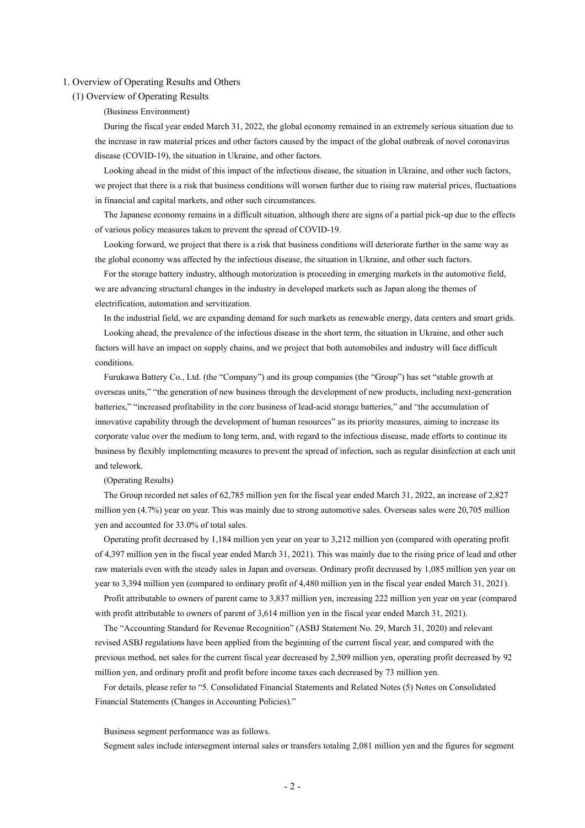#### <span id="page-4-1"></span><span id="page-4-0"></span>1. Overview of Operating Results and Others

### (1) Overview of Operating Results

### (Business Environment)

During the fiscal year ended March 31, 2022, the global economy remained in an extremely serious situation due to the increase in raw material prices and other factors caused by the impact of the global outbreak of novel coronavirus disease (COVID-19), the situation in Ukraine, and other factors.

Looking ahead in the midst of this impact of the infectious disease, the situation in Ukraine, and other such factors, we project that there is a risk that business conditions will worsen further due to rising raw material prices, fluctuations in financial and capital markets, and other such circumstances.

The Japanese economy remains in a difficult situation, although there are signs of a partial pick-up due to the effects of various policy measures taken to prevent the spread of COVID-19.

Looking forward, we project that there is a risk that business conditions will deteriorate further in the same way as the global economy was affected by the infectious disease, the situation in Ukraine, and other such factors.

For the storage battery industry, although motorization is proceeding in emerging markets in the automotive field, we are advancing structural changes in the industry in developed markets such as Japan along the themes of electrification, automation and servitization.

In the industrial field, we are expanding demand for such markets as renewable energy, data centers and smart grids.

Looking ahead, the prevalence of the infectious disease in the short term, the situation in Ukraine, and other such factors will have an impact on supply chains, and we project that both automobiles and industry will face difficult conditions.

Furukawa Battery Co., Ltd. (the "Company") and its group companies (the "Group") has set "stable growth at overseas units," "the generation of new business through the development of new products, including next-generation batteries," "increased profitability in the core business of lead-acid storage batteries," and "the accumulation of innovative capability through the development of human resources" as its priority measures, aiming to increase its corporate value over the medium to long term, and, with regard to the infectious disease, made efforts to continue its business by flexibly implementing measures to prevent the spread of infection, such as regular disinfection at each unit and telework.

### (Operating Results)

The Group recorded net sales of 62,785 million yen for the fiscal year ended March 31, 2022, an increase of 2,827 million yen (4.7%) year on year. This was mainly due to strong automotive sales. Overseas sales were 20,705 million yen and accounted for 33.0% of total sales.

Operating profit decreased by 1,184 million yen year on year to 3,212 million yen (compared with operating profit of 4,397 million yen in the fiscal year ended March 31, 2021). This was mainly due to the rising price of lead and other raw materials even with the steady sales in Japan and overseas. Ordinary profit decreased by 1,085 million yen year on year to 3,394 million yen (compared to ordinary profit of 4,480 million yen in the fiscal year ended March 31, 2021).

Profit attributable to owners of parent came to 3,837 million yen, increasing 222 million yen year on year (compared with profit attributable to owners of parent of 3,614 million yen in the fiscal year ended March 31, 2021).

The "Accounting Standard for Revenue Recognition" (ASBJ Statement No. 29, March 31, 2020) and relevant revised ASBJ regulations have been applied from the beginning of the current fiscal year, and compared with the previous method, net sales for the current fiscal year decreased by 2,509 million yen, operating profit decreased by 92 million yen, and ordinary profit and profit before income taxes each decreased by 73 million yen.

For details, please refer to "5. Consolidated Financial Statements and Related Notes (5) Notes on Consolidated Financial Statements (Changes in Accounting Policies)."

#### Business segment performance was as follows.

Segment sales include intersegment internal sales or transfers totaling 2,081 million yen and the figures for segment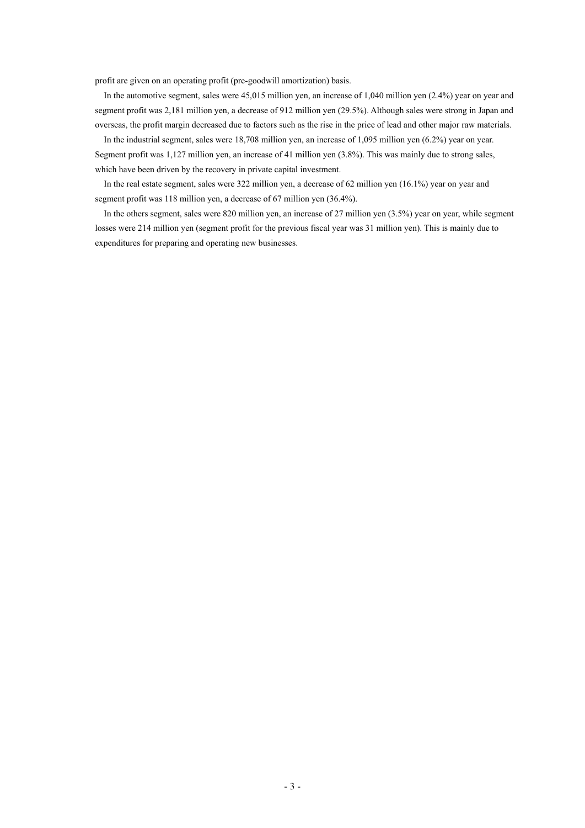profit are given on an operating profit (pre-goodwill amortization) basis.

In the automotive segment, sales were 45,015 million yen, an increase of 1,040 million yen (2.4%) year on year and segment profit was 2,181 million yen, a decrease of 912 million yen (29.5%). Although sales were strong in Japan and overseas, the profit margin decreased due to factors such as the rise in the price of lead and other major raw materials.

In the industrial segment, sales were 18,708 million yen, an increase of 1,095 million yen (6.2%) year on year. Segment profit was 1,127 million yen, an increase of 41 million yen (3.8%). This was mainly due to strong sales, which have been driven by the recovery in private capital investment.

In the real estate segment, sales were 322 million yen, a decrease of 62 million yen (16.1%) year on year and segment profit was 118 million yen, a decrease of 67 million yen (36.4%).

In the others segment, sales were 820 million yen, an increase of 27 million yen (3.5%) year on year, while segment losses were 214 million yen (segment profit for the previous fiscal year was 31 million yen). This is mainly due to expenditures for preparing and operating new businesses.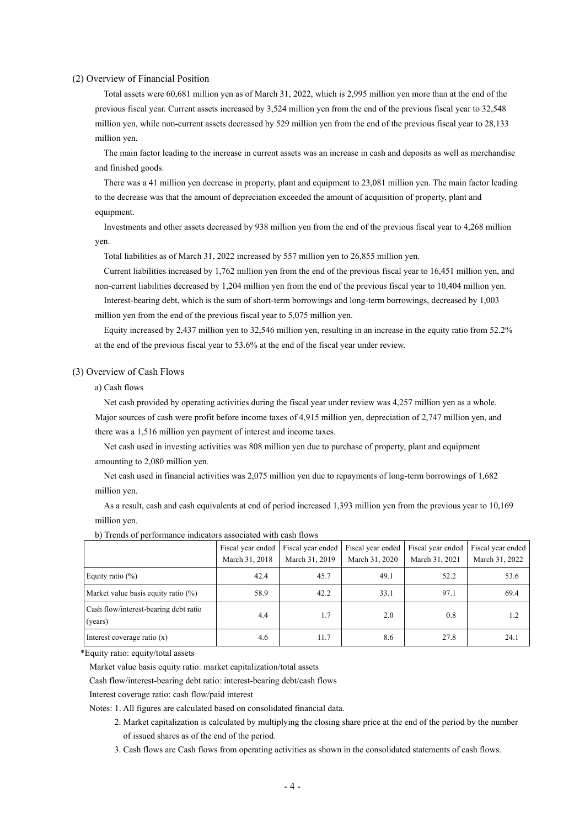#### <span id="page-6-0"></span>(2) Overview of Financial Position

Total assets were 60,681 million yen as of March 31, 2022, which is 2,995 million yen more than at the end of the previous fiscal year. Current assets increased by 3,524 million yen from the end of the previous fiscal year to 32,548 million yen, while non-current assets decreased by 529 million yen from the end of the previous fiscal year to 28,133 million yen.

The main factor leading to the increase in current assets was an increase in cash and deposits as well as merchandise and finished goods.

There was a 41 million yen decrease in property, plant and equipment to 23,081 million yen. The main factor leading to the decrease was that the amount of depreciation exceeded the amount of acquisition of property, plant and equipment.

Investments and other assets decreased by 938 million yen from the end of the previous fiscal year to 4,268 million yen.

Total liabilities as of March 31, 2022 increased by 557 million yen to 26,855 million yen.

Current liabilities increased by 1,762 million yen from the end of the previous fiscal year to 16,451 million yen, and non-current liabilities decreased by 1,204 million yen from the end of the previous fiscal year to 10,404 million yen.

Interest-bearing debt, which is the sum of short-term borrowings and long-term borrowings, decreased by 1,003 million yen from the end of the previous fiscal year to 5,075 million yen.

Equity increased by 2,437 million yen to 32,546 million yen, resulting in an increase in the equity ratio from 52.2% at the end of the previous fiscal year to 53.6% at the end of the fiscal year under review.

#### <span id="page-6-1"></span>(3) Overview of Cash Flows

#### a) Cash flows

Net cash provided by operating activities during the fiscal year under review was 4,257 million yen as a whole. Major sources of cash were profit before income taxes of 4,915 million yen, depreciation of 2,747 million yen, and there was a 1,516 million yen payment of interest and income taxes.

Net cash used in investing activities was 808 million yen due to purchase of property, plant and equipment amounting to 2,080 million yen.

Net cash used in financial activities was 2,075 million yen due to repayments of long-term borrowings of 1,682 million yen.

As a result, cash and cash equivalents at end of period increased 1,393 million yen from the previous year to 10,169 million yen.

|                                                  | Fiscal year ended<br>March 31, 2018 | Fiscal year ended<br>March 31, 2019 | Fiscal year ended<br>March 31, 2020 | Fiscal year ended<br>March 31, 2021 | Fiscal year ended<br>March 31, 2022 |
|--------------------------------------------------|-------------------------------------|-------------------------------------|-------------------------------------|-------------------------------------|-------------------------------------|
| Equity ratio $(\%)$                              | 42.4                                | 45.7                                | 49.1                                | 52.2                                | 53.6                                |
| Market value basis equity ratio $(\%)$           | 58.9                                | 42.2                                | 33.1                                | 97.1                                | 69.4                                |
| Cash flow/interest-bearing debt ratio<br>(years) | 4.4                                 | 1.7                                 | 2.0                                 | 0.8                                 | 1.2                                 |
| Interest coverage ratio $(x)$                    | 4.6                                 | 11.7                                | 8.6                                 | 27.8                                | 24.1                                |

b) Trends of performance indicators associated with cash flows

\*Equity ratio: equity/total assets

Market value basis equity ratio: market capitalization/total assets

Cash flow/interest-bearing debt ratio: interest-bearing debt/cash flows

Interest coverage ratio: cash flow/paid interest

Notes: 1. All figures are calculated based on consolidated financial data.

- 2. Market capitalization is calculated by multiplying the closing share price at the end of the period by the number of issued shares as of the end of the period.
- 3. Cash flows are Cash flows from operating activities as shown in the consolidated statements of cash flows.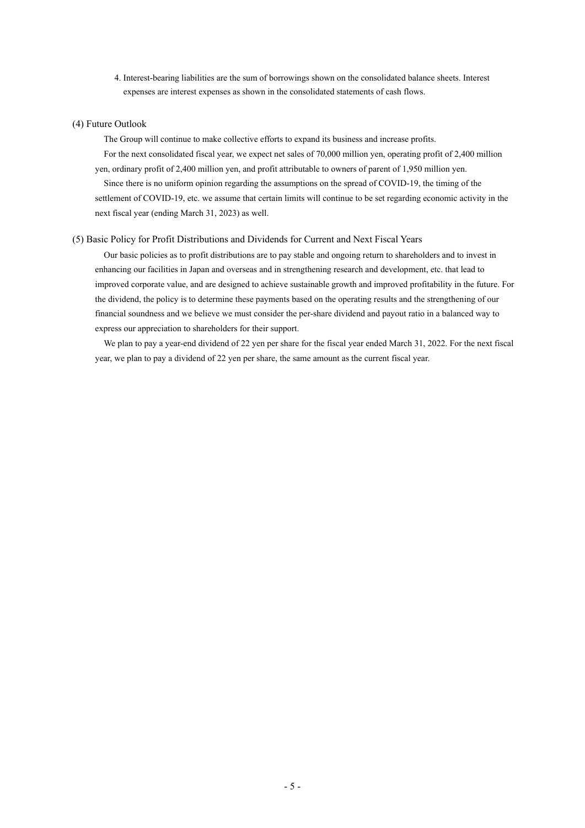4. Interest-bearing liabilities are the sum of borrowings shown on the consolidated balance sheets. Interest expenses are interest expenses as shown in the consolidated statements of cash flows.

### <span id="page-7-0"></span>(4) Future Outlook

The Group will continue to make collective efforts to expand its business and increase profits. For the next consolidated fiscal year, we expect net sales of 70,000 million yen, operating profit of 2,400 million yen, ordinary profit of 2,400 million yen, and profit attributable to owners of parent of 1,950 million yen. Since there is no uniform opinion regarding the assumptions on the spread of COVID-19, the timing of the settlement of COVID-19, etc. we assume that certain limits will continue to be set regarding economic activity in the next fiscal year (ending March 31, 2023) as well.

#### <span id="page-7-1"></span>(5) Basic Policy for Profit Distributions and Dividends for Current and Next Fiscal Years

Our basic policies as to profit distributions are to pay stable and ongoing return to shareholders and to invest in enhancing our facilities in Japan and overseas and in strengthening research and development, etc. that lead to improved corporate value, and are designed to achieve sustainable growth and improved profitability in the future. For the dividend, the policy is to determine these payments based on the operating results and the strengthening of our financial soundness and we believe we must consider the per-share dividend and payout ratio in a balanced way to express our appreciation to shareholders for their support.

We plan to pay a year-end dividend of 22 yen per share for the fiscal year ended March 31, 2022. For the next fiscal year, we plan to pay a dividend of 22 yen per share, the same amount as the current fiscal year.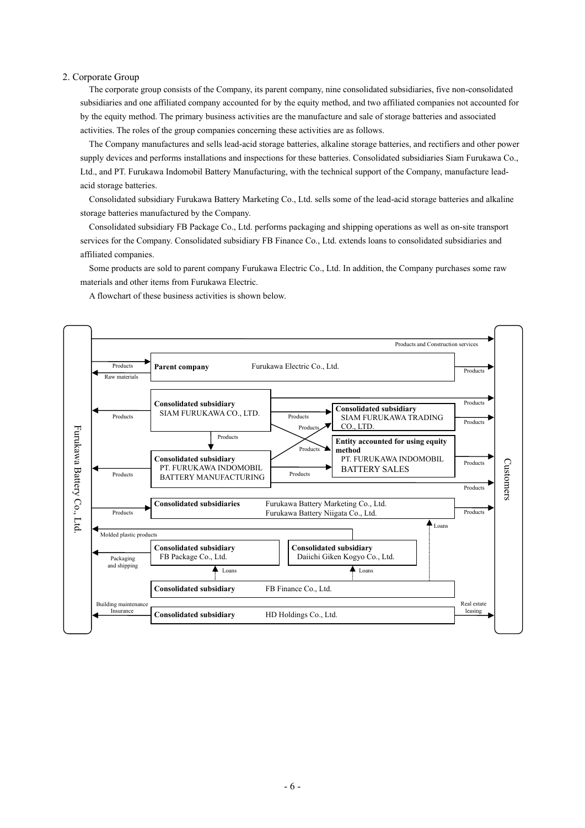#### <span id="page-8-0"></span>2. Corporate Group

The corporate group consists of the Company, its parent company, nine consolidated subsidiaries, five non-consolidated subsidiaries and one affiliated company accounted for by the equity method, and two affiliated companies not accounted for by the equity method. The primary business activities are the manufacture and sale of storage batteries and associated activities. The roles of the group companies concerning these activities are as follows.

The Company manufactures and sells lead-acid storage batteries, alkaline storage batteries, and rectifiers and other power supply devices and performs installations and inspections for these batteries. Consolidated subsidiaries Siam Furukawa Co., Ltd., and PT. Furukawa Indomobil Battery Manufacturing, with the technical support of the Company, manufacture leadacid storage batteries.

Consolidated subsidiary Furukawa Battery Marketing Co., Ltd. sells some of the lead-acid storage batteries and alkaline storage batteries manufactured by the Company.

Consolidated subsidiary FB Package Co., Ltd. performs packaging and shipping operations as well as on-site transport services for the Company. Consolidated subsidiary FB Finance Co., Ltd. extends loans to consolidated subsidiaries and affiliated companies.

Some products are sold to parent company Furukawa Electric Co., Ltd. In addition, the Company purchases some raw materials and other items from Furukawa Electric.

A flowchart of these business activities is shown below.

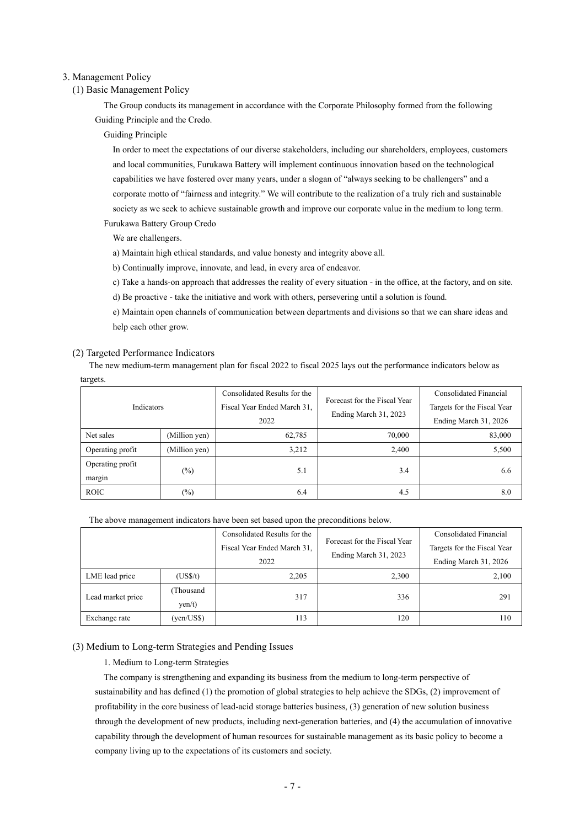#### <span id="page-9-1"></span><span id="page-9-0"></span>3. Management Policy

## (1) Basic Management Policy

The Group conducts its management in accordance with the Corporate Philosophy formed from the following Guiding Principle and the Credo.

#### Guiding Principle

In order to meet the expectations of our diverse stakeholders, including our shareholders, employees, customers and local communities, Furukawa Battery will implement continuous innovation based on the technological capabilities we have fostered over many years, under a slogan of "always seeking to be challengers" and a corporate motto of "fairness and integrity." We will contribute to the realization of a truly rich and sustainable society as we seek to achieve sustainable growth and improve our corporate value in the medium to long term. Furukawa Battery Group Credo

We are challengers.

a) Maintain high ethical standards, and value honesty and integrity above all.

b) Continually improve, innovate, and lead, in every area of endeavor.

c) Take a hands-on approach that addresses the reality of every situation - in the office, at the factory, and on site.

d) Be proactive - take the initiative and work with others, persevering until a solution is found.

e) Maintain open channels of communication between departments and divisions so that we can share ideas and help each other grow.

#### <span id="page-9-2"></span>(2) Targeted Performance Indicators

The new medium-term management plan for fiscal 2022 to fiscal 2025 lays out the performance indicators below as targets.

| Indicators                 |               | Consolidated Results for the<br>Fiscal Year Ended March 31, | Forecast for the Fiscal Year<br>Ending March 31, 2023 | Consolidated Financial<br>Targets for the Fiscal Year |
|----------------------------|---------------|-------------------------------------------------------------|-------------------------------------------------------|-------------------------------------------------------|
|                            |               | 2022                                                        |                                                       | Ending March 31, 2026                                 |
| Net sales                  | (Million yen) | 62,785                                                      | 70,000                                                | 83,000                                                |
| Operating profit           | (Million yen) | 3,212                                                       | 2.400                                                 | 5,500                                                 |
| Operating profit<br>margin | $(\%)$        | 5.1                                                         | 3.4                                                   | 6.6                                                   |
| <b>ROIC</b>                | $(\%)$        | 6.4                                                         | 4.5                                                   | 8.0                                                   |

The above management indicators have been set based upon the preconditions below.

|                   |                                     | Consolidated Results for the<br>Fiscal Year Ended March 31,<br>2022 | Forecast for the Fiscal Year<br>Ending March 31, 2023 | <b>Consolidated Financial</b><br>Targets for the Fiscal Year<br>Ending March 31, 2026 |
|-------------------|-------------------------------------|---------------------------------------------------------------------|-------------------------------------------------------|---------------------------------------------------------------------------------------|
| LME lead price    | (US <sub>S/t</sub> )                | 2,205                                                               | 2,300                                                 | 2,100                                                                                 |
| Lead market price | Thousand<br>$\text{yen}/\text{t}$ ) | 317                                                                 | 336                                                   | 291                                                                                   |
| Exchange rate     | (yen/US\$)                          | 113                                                                 | 120                                                   | 110                                                                                   |

#### <span id="page-9-3"></span>(3) Medium to Long-term Strategies and Pending Issues

1. Medium to Long-term Strategies

The company is strengthening and expanding its business from the medium to long-term perspective of sustainability and has defined (1) the promotion of global strategies to help achieve the SDGs, (2) improvement of profitability in the core business of lead-acid storage batteries business, (3) generation of new solution business through the development of new products, including next-generation batteries, and (4) the accumulation of innovative capability through the development of human resources for sustainable management as its basic policy to become a company living up to the expectations of its customers and society.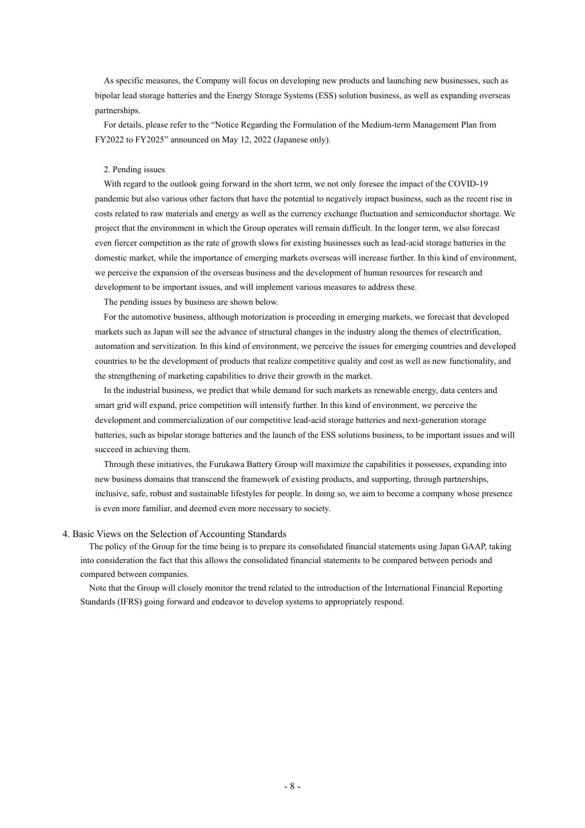As specific measures, the Company will focus on developing new products and launching new businesses, such as bipolar lead storage batteries and the Energy Storage Systems (ESS) solution business, as well as expanding overseas partnerships.

For details, please refer to the "Notice Regarding the Formulation of the Medium-term Management Plan from FY2022 to FY2025" announced on May 12, 2022 (Japanese only).

#### 2. Pending issues

With regard to the outlook going forward in the short term, we not only foresee the impact of the COVID-19 pandemic but also various other factors that have the potential to negatively impact business, such as the recent rise in costs related to raw materials and energy as well as the currency exchange fluctuation and semiconductor shortage. We project that the environment in which the Group operates will remain difficult. In the longer term, we also forecast even fiercer competition as the rate of growth slows for existing businesses such as lead-acid storage batteries in the domestic market, while the importance of emerging markets overseas will increase further. In this kind of environment, we perceive the expansion of the overseas business and the development of human resources for research and development to be important issues, and will implement various measures to address these.

The pending issues by business are shown below.

For the automotive business, although motorization is proceeding in emerging markets, we forecast that developed markets such as Japan will see the advance of structural changes in the industry along the themes of electrification, automation and servitization. In this kind of environment, we perceive the issues for emerging countries and developed countries to be the development of products that realize competitive quality and cost as well as new functionality, and the strengthening of marketing capabilities to drive their growth in the market.

In the industrial business, we predict that while demand for such markets as renewable energy, data centers and smart grid will expand, price competition will intensify further. In this kind of environment, we perceive the development and commercialization of our competitive lead-acid storage batteries and next-generation storage batteries, such as bipolar storage batteries and the launch of the ESS solutions business, to be important issues and will succeed in achieving them.

Through these initiatives, the Furukawa Battery Group will maximize the capabilities it possesses, expanding into new business domains that transcend the framework of existing products, and supporting, through partnerships, inclusive, safe, robust and sustainable lifestyles for people. In doing so, we aim to become a company whose presence is even more familiar, and deemed even more necessary to society.

#### <span id="page-10-0"></span>4. Basic Views on the Selection of Accounting Standards

The policy of the Group for the time being is to prepare its consolidated financial statements using Japan GAAP, taking into consideration the fact that this allows the consolidated financial statements to be compared between periods and compared between companies.

Note that the Group will closely monitor the trend related to the introduction of the International Financial Reporting Standards (IFRS) going forward and endeavor to develop systems to appropriately respond.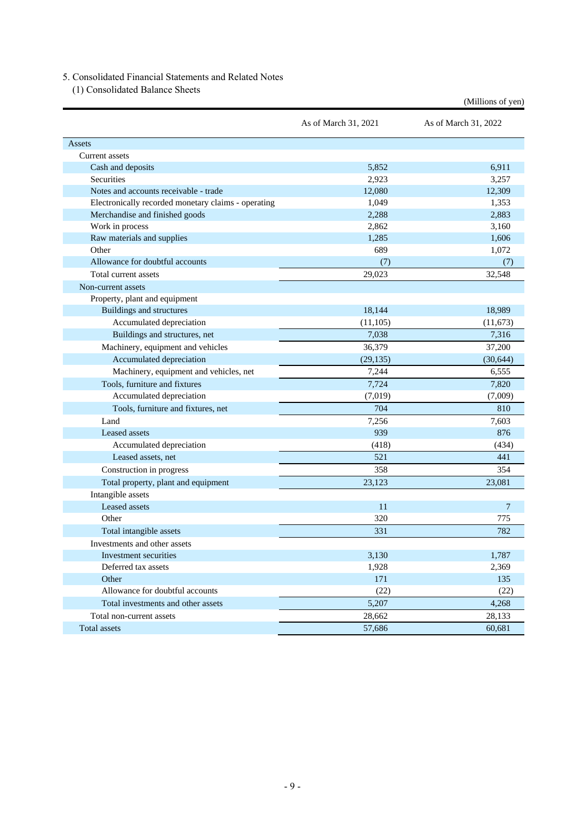## <span id="page-11-0"></span>5. Consolidated Financial Statements and Related Notes

<span id="page-11-1"></span>(1) Consolidated Balance Sheets

|                                                     |                      | (Millions of yen)    |
|-----------------------------------------------------|----------------------|----------------------|
|                                                     | As of March 31, 2021 | As of March 31, 2022 |
| Assets                                              |                      |                      |
| Current assets                                      |                      |                      |
| Cash and deposits                                   | 5,852                | 6,911                |
| <b>Securities</b>                                   | 2,923                | 3,257                |
| Notes and accounts receivable - trade               | 12,080               | 12,309               |
| Electronically recorded monetary claims - operating | 1,049                | 1,353                |
| Merchandise and finished goods                      | 2,288                | 2,883                |
| Work in process                                     | 2,862                | 3,160                |
| Raw materials and supplies                          | 1,285                | 1,606                |
| Other                                               | 689                  | 1,072                |
| Allowance for doubtful accounts                     | (7)                  | (7)                  |
| Total current assets                                | 29,023               | 32,548               |
| Non-current assets                                  |                      |                      |
| Property, plant and equipment                       |                      |                      |
| <b>Buildings and structures</b>                     | 18,144               | 18,989               |
| Accumulated depreciation                            | (11, 105)            | (11,673)             |
| Buildings and structures, net                       | 7,038                | 7,316                |
| Machinery, equipment and vehicles                   | 36,379               | 37,200               |
| Accumulated depreciation                            | (29, 135)            | (30, 644)            |
| Machinery, equipment and vehicles, net              | 7,244                | 6,555                |
| Tools, furniture and fixtures                       | 7,724                | 7,820                |
| Accumulated depreciation                            | (7,019)              | (7,009)              |
| Tools, furniture and fixtures, net                  | 704                  | 810                  |
| Land                                                | 7,256                | 7,603                |
| Leased assets                                       | 939                  | 876                  |
| Accumulated depreciation                            | (418)                | (434)                |
| Leased assets, net                                  | 521                  | 441                  |
| Construction in progress                            | 358                  | 354                  |
| Total property, plant and equipment                 | 23,123               | 23,081               |
| Intangible assets                                   |                      |                      |
| Leased assets                                       | 11                   | 7                    |
| Other                                               | 320                  | 775                  |
| Total intangible assets                             | 331                  | 782                  |
| Investments and other assets                        |                      |                      |
| Investment securities                               | 3,130                | 1,787                |
| Deferred tax assets                                 | 1,928                | 2,369                |
| Other                                               | 171                  | 135                  |
| Allowance for doubtful accounts                     | (22)                 | (22)                 |
| Total investments and other assets                  | 5,207                | 4,268                |
| Total non-current assets                            | 28,662               | 28,133               |
|                                                     |                      |                      |
| Total assets                                        | 57,686               | 60,681               |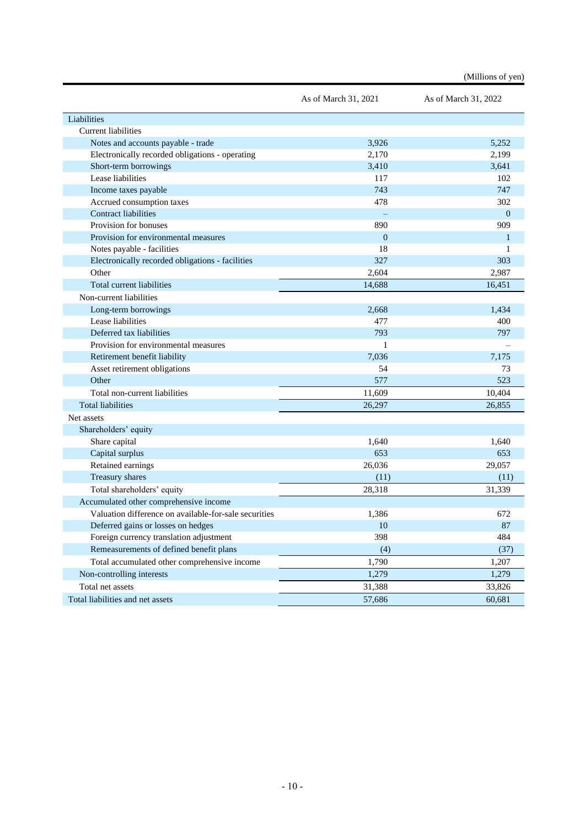|                                                       |                      | (Millions of yen)    |
|-------------------------------------------------------|----------------------|----------------------|
|                                                       | As of March 31, 2021 | As of March 31, 2022 |
| Liabilities                                           |                      |                      |
| <b>Current liabilities</b>                            |                      |                      |
| Notes and accounts payable - trade                    | 3,926                | 5,252                |
| Electronically recorded obligations - operating       | 2,170                | 2,199                |
| Short-term borrowings                                 | 3,410                | 3,641                |
| Lease liabilities                                     | 117                  | 102                  |
| Income taxes payable                                  | 743                  | 747                  |
| Accrued consumption taxes                             | 478                  | 302                  |
| <b>Contract liabilities</b>                           |                      | $\Omega$             |
| Provision for bonuses                                 | 890                  | 909                  |
| Provision for environmental measures                  | $\overline{0}$       | 1                    |
| Notes payable - facilities                            | 18                   | 1                    |
| Electronically recorded obligations - facilities      | 327                  | 303                  |
| Other                                                 | 2,604                | 2,987                |
| Total current liabilities                             | 14,688               | 16,451               |
| Non-current liabilities                               |                      |                      |
| Long-term borrowings                                  | 2,668                | 1,434                |
| Lease liabilities                                     | 477                  | 400                  |
| Deferred tax liabilities                              | 793                  | 797                  |
| Provision for environmental measures                  | 1                    |                      |
| Retirement benefit liability                          | 7,036                | 7,175                |
| Asset retirement obligations                          | 54                   | 73                   |
| Other                                                 | 577                  | 523                  |
| Total non-current liabilities                         | 11,609               | 10,404               |
| <b>Total liabilities</b>                              | 26,297               | 26,855               |
| Net assets                                            |                      |                      |
| Shareholders' equity                                  |                      |                      |
| Share capital                                         | 1,640                | 1,640                |
| Capital surplus                                       | 653                  | 653                  |
| Retained earnings                                     | 26,036               | 29,057               |
| Treasury shares                                       | (11)                 | (11)                 |
| Total shareholders' equity                            | 28,318               | 31,339               |
| Accumulated other comprehensive income                |                      |                      |
| Valuation difference on available-for-sale securities | 1,386                | 672                  |
| Deferred gains or losses on hedges                    | 10                   | 87                   |
| Foreign currency translation adjustment               | 398                  | 484                  |
| Remeasurements of defined benefit plans               | (4)                  | (37)                 |
| Total accumulated other comprehensive income          | 1,790                | 1,207                |
| Non-controlling interests                             | 1,279                | 1,279                |
| Total net assets                                      | 31,388               | 33,826               |
| Total liabilities and net assets                      | 57,686               | 60,681               |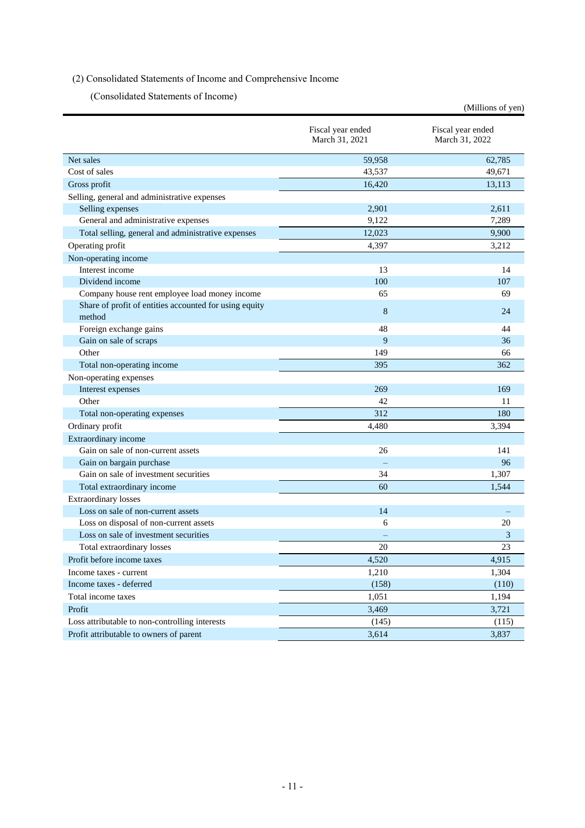## <span id="page-13-1"></span><span id="page-13-0"></span>(2) Consolidated Statements of Income and Comprehensive Income

(Consolidated Statements of Income)

|                                                                  |                                     | (Millions of yen)                   |
|------------------------------------------------------------------|-------------------------------------|-------------------------------------|
|                                                                  | Fiscal year ended<br>March 31, 2021 | Fiscal year ended<br>March 31, 2022 |
| Net sales                                                        | 59,958                              | 62,785                              |
| Cost of sales                                                    | 43,537                              | 49,671                              |
| Gross profit                                                     | 16,420                              | 13,113                              |
| Selling, general and administrative expenses                     |                                     |                                     |
| Selling expenses                                                 | 2.901                               | 2,611                               |
| General and administrative expenses                              | 9.122                               | 7,289                               |
| Total selling, general and administrative expenses               | 12,023                              | 9,900                               |
| Operating profit                                                 | 4,397                               | 3,212                               |
| Non-operating income                                             |                                     |                                     |
| Interest income                                                  | 13                                  | 14                                  |
| Dividend income                                                  | 100                                 | 107                                 |
| Company house rent employee load money income                    | 65                                  | 69                                  |
| Share of profit of entities accounted for using equity<br>method | 8                                   | 24                                  |
| Foreign exchange gains                                           | 48                                  | 44                                  |
| Gain on sale of scraps                                           | 9                                   | 36                                  |
| Other                                                            | 149                                 | 66                                  |
| Total non-operating income                                       | 395                                 | 362                                 |
| Non-operating expenses                                           |                                     |                                     |
| Interest expenses                                                | 269                                 | 169                                 |
| Other                                                            | 42                                  | 11                                  |
| Total non-operating expenses                                     | 312                                 | 180                                 |
| Ordinary profit                                                  | 4,480                               | 3,394                               |
| Extraordinary income                                             |                                     |                                     |
| Gain on sale of non-current assets                               | 26                                  | 141                                 |
| Gain on bargain purchase                                         |                                     | 96                                  |
| Gain on sale of investment securities                            | 34                                  | 1,307                               |
| Total extraordinary income                                       | 60                                  | 1,544                               |
| <b>Extraordinary losses</b>                                      |                                     |                                     |
| Loss on sale of non-current assets                               | 14                                  |                                     |
| Loss on disposal of non-current assets                           | 6                                   | 20                                  |
| Loss on sale of investment securities                            |                                     | 3                                   |
| Total extraordinary losses                                       | 20                                  | 23                                  |
| Profit before income taxes                                       | 4,520                               | 4,915                               |
| Income taxes - current                                           | 1,210                               | 1,304                               |
| Income taxes - deferred                                          | (158)                               | (110)                               |
| Total income taxes                                               | 1,051                               | 1,194                               |
| Profit                                                           | 3,469                               | 3,721                               |
| Loss attributable to non-controlling interests                   | (145)                               | (115)                               |
| Profit attributable to owners of parent                          | 3,614                               | 3,837                               |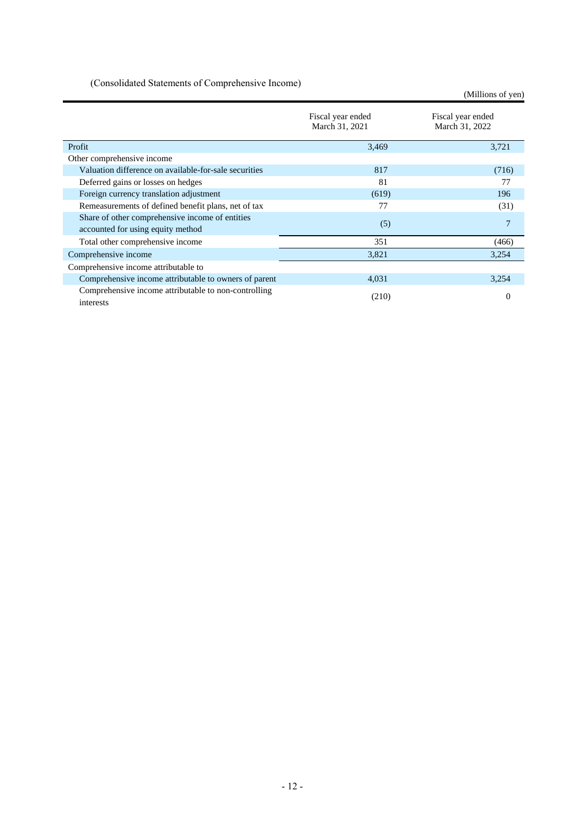<span id="page-14-0"></span>(Consolidated Statements of Comprehensive Income)

(Millions of yen)

|                                                                                      | Fiscal year ended<br>March 31, 2021 | Fiscal year ended<br>March 31, 2022 |
|--------------------------------------------------------------------------------------|-------------------------------------|-------------------------------------|
| Profit                                                                               | 3,469                               | 3,721                               |
| Other comprehensive income                                                           |                                     |                                     |
| Valuation difference on available-for-sale securities                                | 817                                 | (716)                               |
| Deferred gains or losses on hedges                                                   | 81                                  | 77                                  |
| Foreign currency translation adjustment                                              | (619)                               | 196                                 |
| Remeasurements of defined benefit plans, net of tax                                  | 77                                  | (31)                                |
| Share of other comprehensive income of entities<br>accounted for using equity method | (5)                                 | 7                                   |
| Total other comprehensive income                                                     | 351                                 | (466)                               |
| Comprehensive income                                                                 | 3,821                               | 3,254                               |
| Comprehensive income attributable to                                                 |                                     |                                     |
| Comprehensive income attributable to owners of parent                                | 4,031                               | 3,254                               |
| Comprehensive income attributable to non-controlling<br>interests                    | (210)                               | $\theta$                            |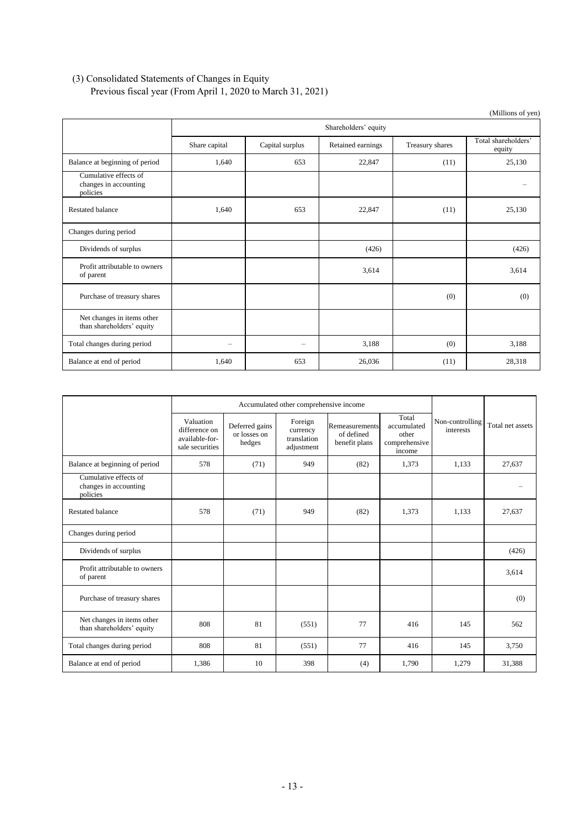## <span id="page-15-0"></span>(3) Consolidated Statements of Changes in Equity

Previous fiscal year (From April 1, 2020 to March 31, 2021)

|                                                            |               |                      |                   |                 | (Millions of yen)             |  |  |  |
|------------------------------------------------------------|---------------|----------------------|-------------------|-----------------|-------------------------------|--|--|--|
|                                                            |               | Shareholders' equity |                   |                 |                               |  |  |  |
|                                                            | Share capital | Capital surplus      | Retained earnings | Treasury shares | Total shareholders'<br>equity |  |  |  |
| Balance at beginning of period                             | 1,640         | 653                  | 22,847            | (11)            | 25,130                        |  |  |  |
| Cumulative effects of<br>changes in accounting<br>policies |               |                      |                   |                 | $\qquad \qquad =$             |  |  |  |
| <b>Restated balance</b>                                    | 1,640         | 653                  | 22,847            | (11)            | 25,130                        |  |  |  |
| Changes during period                                      |               |                      |                   |                 |                               |  |  |  |
| Dividends of surplus                                       |               |                      | (426)             |                 | (426)                         |  |  |  |
| Profit attributable to owners<br>of parent                 |               |                      | 3,614             |                 | 3,614                         |  |  |  |
| Purchase of treasury shares                                |               |                      |                   | (0)             | (0)                           |  |  |  |
| Net changes in items other<br>than shareholders' equity    |               |                      |                   |                 |                               |  |  |  |
| Total changes during period                                | -             | -                    | 3,188             | (0)             | 3,188                         |  |  |  |
| Balance at end of period                                   | 1,640         | 653                  | 26,036            | (11)            | 28,318                        |  |  |  |

|                                                            |                                                                 | Accumulated other comprehensive income   |                                                  |                                               |                                                          |                              |                  |
|------------------------------------------------------------|-----------------------------------------------------------------|------------------------------------------|--------------------------------------------------|-----------------------------------------------|----------------------------------------------------------|------------------------------|------------------|
|                                                            | Valuation<br>difference on<br>available-for-<br>sale securities | Deferred gains<br>or losses on<br>hedges | Foreign<br>currency<br>translation<br>adjustment | Remeasurements<br>of defined<br>benefit plans | Total<br>accumulated<br>other<br>comprehensive<br>income | Non-controlling<br>interests | Total net assets |
| Balance at beginning of period                             | 578                                                             | (71)                                     | 949                                              | (82)                                          | 1,373                                                    | 1,133                        | 27,637           |
| Cumulative effects of<br>changes in accounting<br>policies |                                                                 |                                          |                                                  |                                               |                                                          |                              |                  |
| <b>Restated balance</b>                                    | 578                                                             | (71)                                     | 949                                              | (82)                                          | 1,373                                                    | 1,133                        | 27,637           |
| Changes during period                                      |                                                                 |                                          |                                                  |                                               |                                                          |                              |                  |
| Dividends of surplus                                       |                                                                 |                                          |                                                  |                                               |                                                          |                              | (426)            |
| Profit attributable to owners<br>of parent                 |                                                                 |                                          |                                                  |                                               |                                                          |                              | 3,614            |
| Purchase of treasury shares                                |                                                                 |                                          |                                                  |                                               |                                                          |                              | (0)              |
| Net changes in items other<br>than shareholders' equity    | 808                                                             | 81                                       | (551)                                            | 77                                            | 416                                                      | 145                          | 562              |
| Total changes during period                                | 808                                                             | 81                                       | (551)                                            | 77                                            | 416                                                      | 145                          | 3,750            |
| Balance at end of period                                   | 1,386                                                           | 10                                       | 398                                              | (4)                                           | 1,790                                                    | 1,279                        | 31,388           |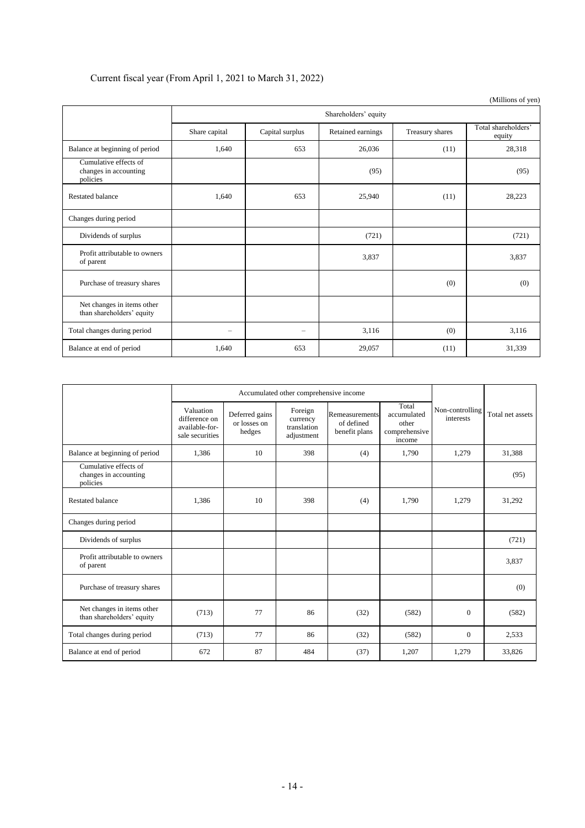## Current fiscal year (From April 1, 2021 to March 31, 2022)

|                                                            |               |                      |                   |                 | $($ whilions of $y$ en        |  |  |  |
|------------------------------------------------------------|---------------|----------------------|-------------------|-----------------|-------------------------------|--|--|--|
|                                                            |               | Shareholders' equity |                   |                 |                               |  |  |  |
|                                                            | Share capital | Capital surplus      | Retained earnings | Treasury shares | Total shareholders'<br>equity |  |  |  |
| Balance at beginning of period                             | 1,640         | 653                  | 26,036            | (11)            | 28,318                        |  |  |  |
| Cumulative effects of<br>changes in accounting<br>policies |               |                      | (95)              |                 | (95)                          |  |  |  |
| <b>Restated balance</b>                                    | 1,640         | 653                  | 25,940            | (11)            | 28,223                        |  |  |  |
| Changes during period                                      |               |                      |                   |                 |                               |  |  |  |
| Dividends of surplus                                       |               |                      | (721)             |                 | (721)                         |  |  |  |
| Profit attributable to owners<br>of parent                 |               |                      | 3,837             |                 | 3,837                         |  |  |  |
| Purchase of treasury shares                                |               |                      |                   | (0)             | (0)                           |  |  |  |
| Net changes in items other<br>than shareholders' equity    |               |                      |                   |                 |                               |  |  |  |
| Total changes during period                                |               |                      | 3,116             | (0)             | 3,116                         |  |  |  |
| Balance at end of period                                   | 1,640         | 653                  | 29,057            | (11)            | 31,339                        |  |  |  |

|                                                            |                                                                 | Accumulated other comprehensive income   |                                                  |                                               |                                                          |                              |                  |
|------------------------------------------------------------|-----------------------------------------------------------------|------------------------------------------|--------------------------------------------------|-----------------------------------------------|----------------------------------------------------------|------------------------------|------------------|
|                                                            | Valuation<br>difference on<br>available-for-<br>sale securities | Deferred gains<br>or losses on<br>hedges | Foreign<br>currency<br>translation<br>adjustment | Remeasurements<br>of defined<br>benefit plans | Total<br>accumulated<br>other<br>comprehensive<br>income | Non-controlling<br>interests | Total net assets |
| Balance at beginning of period                             | 1,386                                                           | 10                                       | 398                                              | (4)                                           | 1,790                                                    | 1,279                        | 31,388           |
| Cumulative effects of<br>changes in accounting<br>policies |                                                                 |                                          |                                                  |                                               |                                                          |                              | (95)             |
| Restated balance                                           | 1,386                                                           | 10                                       | 398                                              | (4)                                           | 1,790                                                    | 1,279                        | 31,292           |
| Changes during period                                      |                                                                 |                                          |                                                  |                                               |                                                          |                              |                  |
| Dividends of surplus                                       |                                                                 |                                          |                                                  |                                               |                                                          |                              | (721)            |
| Profit attributable to owners<br>of parent                 |                                                                 |                                          |                                                  |                                               |                                                          |                              | 3,837            |
| Purchase of treasury shares                                |                                                                 |                                          |                                                  |                                               |                                                          |                              | (0)              |
| Net changes in items other<br>than shareholders' equity    | (713)                                                           | 77                                       | 86                                               | (32)                                          | (582)                                                    | $\Omega$                     | (582)            |
| Total changes during period                                | (713)                                                           | 77                                       | 86                                               | (32)                                          | (582)                                                    | $\overline{0}$               | 2,533            |
| Balance at end of period                                   | 672                                                             | 87                                       | 484                                              | (37)                                          | 1,207                                                    | 1,279                        | 33,826           |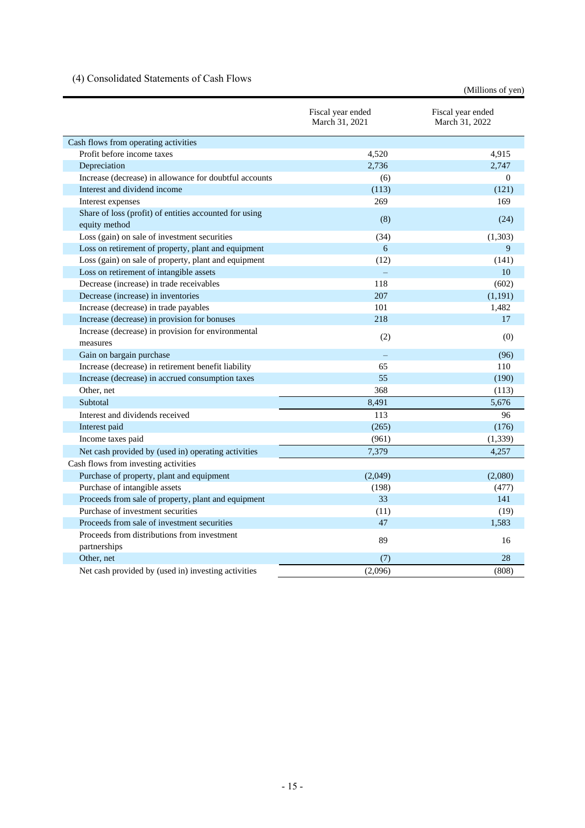## <span id="page-17-0"></span>(4) Consolidated Statements of Cash Flows

(Millions of yen)

|                                                             | Fiscal year ended<br>March 31, 2021 | Fiscal year ended<br>March 31, 2022 |
|-------------------------------------------------------------|-------------------------------------|-------------------------------------|
| Cash flows from operating activities                        |                                     |                                     |
| Profit before income taxes                                  | 4,520                               | 4,915                               |
| Depreciation                                                | 2.736                               | 2.747                               |
| Increase (decrease) in allowance for doubtful accounts      | (6)                                 | $\overline{0}$                      |
| Interest and dividend income                                | (113)                               | (121)                               |
| Interest expenses                                           | 269                                 | 169                                 |
| Share of loss (profit) of entities accounted for using      |                                     |                                     |
| equity method                                               | (8)                                 | (24)                                |
| Loss (gain) on sale of investment securities                | (34)                                | (1,303)                             |
| Loss on retirement of property, plant and equipment         | 6                                   | 9                                   |
| Loss (gain) on sale of property, plant and equipment        | (12)                                | (141)                               |
| Loss on retirement of intangible assets                     |                                     | 10                                  |
| Decrease (increase) in trade receivables                    | 118                                 | (602)                               |
| Decrease (increase) in inventories                          | 207                                 | (1, 191)                            |
| Increase (decrease) in trade payables                       | 101                                 | 1,482                               |
| Increase (decrease) in provision for bonuses                | 218                                 | 17                                  |
| Increase (decrease) in provision for environmental          |                                     | (0)                                 |
| measures                                                    | (2)                                 |                                     |
| Gain on bargain purchase                                    |                                     | (96)                                |
| Increase (decrease) in retirement benefit liability         | 65                                  | 110                                 |
| Increase (decrease) in accrued consumption taxes            | 55                                  | (190)                               |
| Other, net                                                  | 368                                 | (113)                               |
| Subtotal                                                    | 8,491                               | 5,676                               |
| Interest and dividends received                             | 113                                 | 96                                  |
| Interest paid                                               | (265)                               | (176)                               |
| Income taxes paid                                           | (961)                               | (1, 339)                            |
| Net cash provided by (used in) operating activities         | 7,379                               | 4.257                               |
| Cash flows from investing activities                        |                                     |                                     |
| Purchase of property, plant and equipment                   | (2,049)                             | (2,080)                             |
| Purchase of intangible assets                               | (198)                               | (477)                               |
| Proceeds from sale of property, plant and equipment         | 33                                  | 141                                 |
| Purchase of investment securities                           | (11)                                | (19)                                |
| Proceeds from sale of investment securities                 | 47                                  | 1,583                               |
| Proceeds from distributions from investment<br>partnerships | 89                                  | 16                                  |
| Other, net                                                  | (7)                                 | 28                                  |
| Net cash provided by (used in) investing activities         | (2,096)                             | (808)                               |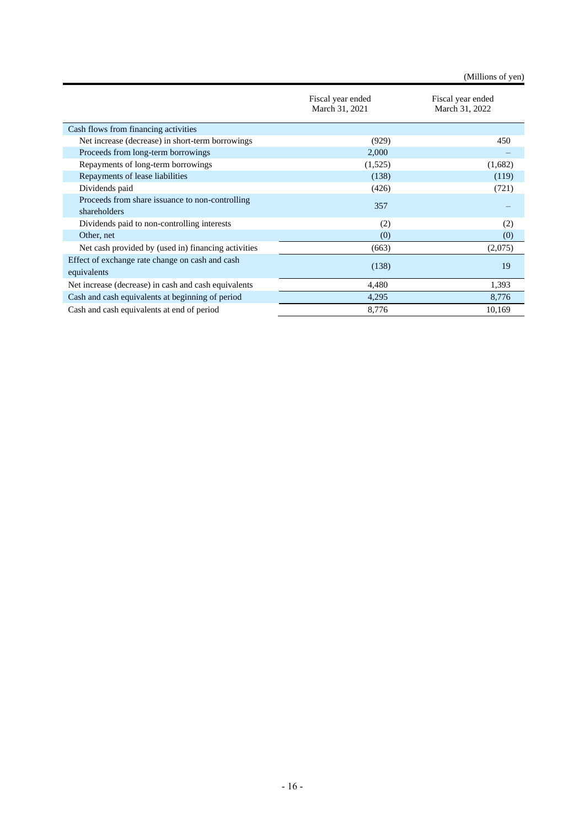(Millions of yen)

|                                                                 | Fiscal year ended<br>March 31, 2021 | Fiscal year ended<br>March 31, 2022 |
|-----------------------------------------------------------------|-------------------------------------|-------------------------------------|
| Cash flows from financing activities                            |                                     |                                     |
| Net increase (decrease) in short-term borrowings                | (929)                               | 450                                 |
| Proceeds from long-term borrowings                              | 2,000                               |                                     |
| Repayments of long-term borrowings                              | (1,525)                             | (1,682)                             |
| Repayments of lease liabilities                                 | (138)                               | (119)                               |
| Dividends paid                                                  | (426)                               | (721)                               |
| Proceeds from share issuance to non-controlling<br>shareholders | 357                                 |                                     |
| Dividends paid to non-controlling interests                     | (2)                                 | (2)                                 |
| Other, net                                                      | (0)                                 | (0)                                 |
| Net cash provided by (used in) financing activities             | (663)                               | (2,075)                             |
| Effect of exchange rate change on cash and cash<br>equivalents  | (138)                               | 19                                  |
| Net increase (decrease) in cash and cash equivalents            | 4,480                               | 1,393                               |
| Cash and cash equivalents at beginning of period                | 4,295                               | 8,776                               |
| Cash and cash equivalents at end of period                      | 8,776                               | 10,169                              |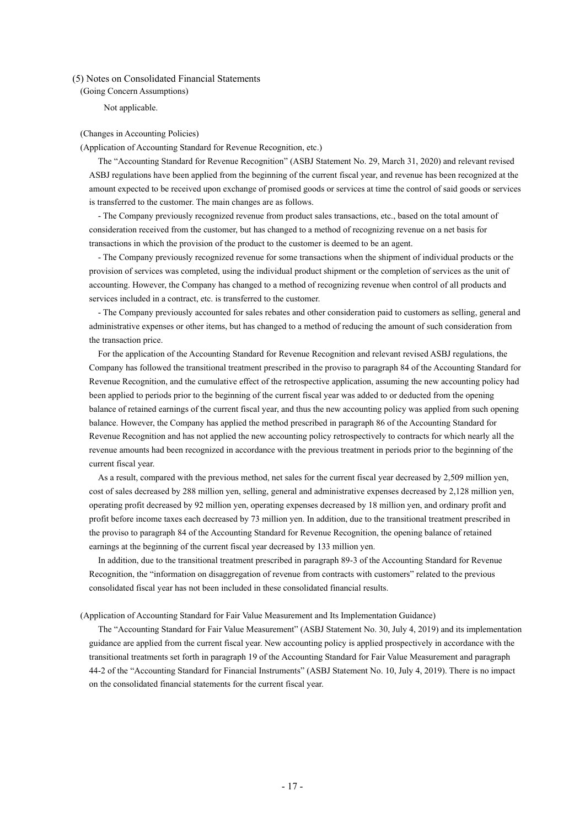<span id="page-19-1"></span><span id="page-19-0"></span>(5) Notes on Consolidated Financial Statements

(Going Concern Assumptions)

Not applicable.

#### <span id="page-19-2"></span>(Changes in Accounting Policies)

(Application of Accounting Standard for Revenue Recognition, etc.)

The "Accounting Standard for Revenue Recognition" (ASBJ Statement No. 29, March 31, 2020) and relevant revised ASBJ regulations have been applied from the beginning of the current fiscal year, and revenue has been recognized at the amount expected to be received upon exchange of promised goods or services at time the control of said goods or services is transferred to the customer. The main changes are as follows.

- The Company previously recognized revenue from product sales transactions, etc., based on the total amount of consideration received from the customer, but has changed to a method of recognizing revenue on a net basis for transactions in which the provision of the product to the customer is deemed to be an agent.

- The Company previously recognized revenue for some transactions when the shipment of individual products or the provision of services was completed, using the individual product shipment or the completion of services as the unit of accounting. However, the Company has changed to a method of recognizing revenue when control of all products and services included in a contract, etc. is transferred to the customer.

- The Company previously accounted for sales rebates and other consideration paid to customers as selling, general and administrative expenses or other items, but has changed to a method of reducing the amount of such consideration from the transaction price.

For the application of the Accounting Standard for Revenue Recognition and relevant revised ASBJ regulations, the Company has followed the transitional treatment prescribed in the proviso to paragraph 84 of the Accounting Standard for Revenue Recognition, and the cumulative effect of the retrospective application, assuming the new accounting policy had been applied to periods prior to the beginning of the current fiscal year was added to or deducted from the opening balance of retained earnings of the current fiscal year, and thus the new accounting policy was applied from such opening balance. However, the Company has applied the method prescribed in paragraph 86 of the Accounting Standard for Revenue Recognition and has not applied the new accounting policy retrospectively to contracts for which nearly all the revenue amounts had been recognized in accordance with the previous treatment in periods prior to the beginning of the current fiscal year.

As a result, compared with the previous method, net sales for the current fiscal year decreased by 2,509 million yen, cost of sales decreased by 288 million yen, selling, general and administrative expenses decreased by 2,128 million yen, operating profit decreased by 92 million yen, operating expenses decreased by 18 million yen, and ordinary profit and profit before income taxes each decreased by 73 million yen. In addition, due to the transitional treatment prescribed in the proviso to paragraph 84 of the Accounting Standard for Revenue Recognition, the opening balance of retained earnings at the beginning of the current fiscal year decreased by 133 million yen.

In addition, due to the transitional treatment prescribed in paragraph 89-3 of the Accounting Standard for Revenue Recognition, the "information on disaggregation of revenue from contracts with customers" related to the previous consolidated fiscal year has not been included in these consolidated financial results.

(Application of Accounting Standard for Fair Value Measurement and Its Implementation Guidance)

The "Accounting Standard for Fair Value Measurement" (ASBJ Statement No. 30, July 4, 2019) and its implementation guidance are applied from the current fiscal year. New accounting policy is applied prospectively in accordance with the transitional treatments set forth in paragraph 19 of the Accounting Standard for Fair Value Measurement and paragraph 44-2 of the "Accounting Standard for Financial Instruments" (ASBJ Statement No. 10, July 4, 2019). There is no impact on the consolidated financial statements for the current fiscal year.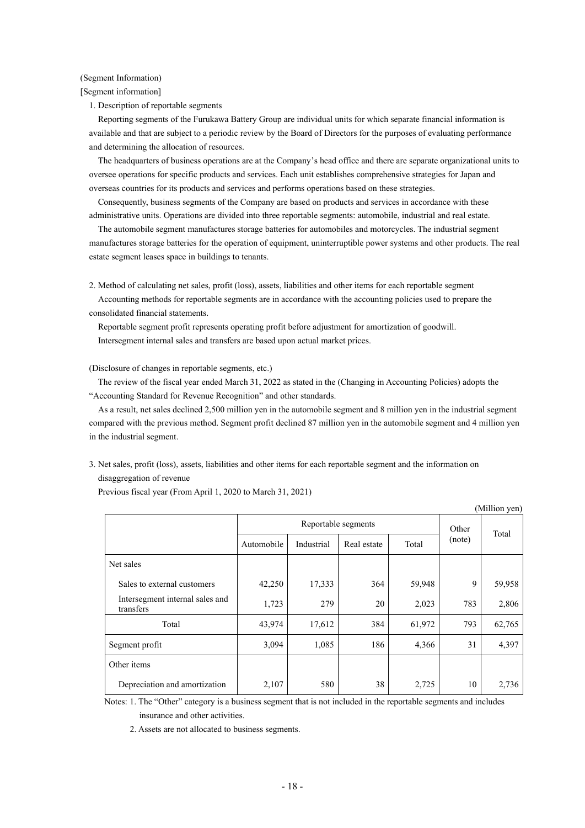### <span id="page-20-0"></span>(Segment Information)

[Segment information]

1. Description of reportable segments

Reporting segments of the Furukawa Battery Group are individual units for which separate financial information is available and that are subject to a periodic review by the Board of Directors for the purposes of evaluating performance and determining the allocation of resources.

The headquarters of business operations are at the Company's head office and there are separate organizational units to oversee operations for specific products and services. Each unit establishes comprehensive strategies for Japan and overseas countries for its products and services and performs operations based on these strategies.

Consequently, business segments of the Company are based on products and services in accordance with these administrative units. Operations are divided into three reportable segments: automobile, industrial and real estate.

The automobile segment manufactures storage batteries for automobiles and motorcycles. The industrial segment manufactures storage batteries for the operation of equipment, uninterruptible power systems and other products. The real estate segment leases space in buildings to tenants.

2. Method of calculating net sales, profit (loss), assets, liabilities and other items for each reportable segment

Accounting methods for reportable segments are in accordance with the accounting policies used to prepare the consolidated financial statements.

Reportable segment profit represents operating profit before adjustment for amortization of goodwill. Intersegment internal sales and transfers are based upon actual market prices.

(Disclosure of changes in reportable segments, etc.)

The review of the fiscal year ended March 31, 2022 as stated in the (Changing in Accounting Policies) adopts the "Accounting Standard for Revenue Recognition" and other standards.

As a result, net sales declined 2,500 million yen in the automobile segment and 8 million yen in the industrial segment compared with the previous method. Segment profit declined 87 million yen in the automobile segment and 4 million yen in the industrial segment.

3. Net sales, profit (loss), assets, liabilities and other items for each reportable segment and the information on disaggregation of revenue

| (Million yen)                                |            |                     |             |        |        |        |
|----------------------------------------------|------------|---------------------|-------------|--------|--------|--------|
|                                              |            | Reportable segments |             |        | Other  |        |
|                                              | Automobile | Industrial          | Real estate | Total  | (note) | Total  |
| Net sales                                    |            |                     |             |        |        |        |
| Sales to external customers                  | 42,250     | 17,333              | 364         | 59,948 | 9      | 59,958 |
| Intersegment internal sales and<br>transfers | 1,723      | 279                 | 20          | 2,023  | 783    | 2,806  |
| Total                                        | 43,974     | 17,612              | 384         | 61,972 | 793    | 62,765 |
| Segment profit                               | 3,094      | 1,085               | 186         | 4,366  | 31     | 4,397  |
| Other items                                  |            |                     |             |        |        |        |
| Depreciation and amortization                | 2,107      | 580                 | 38          | 2,725  | 10     | 2,736  |

 $\alpha$  cm

Previous fiscal year (From April 1, 2020 to March 31, 2021)

Notes: 1. The "Other" category is a business segment that is not included in the reportable segments and includes insurance and other activities.

2. Assets are not allocated to business segments.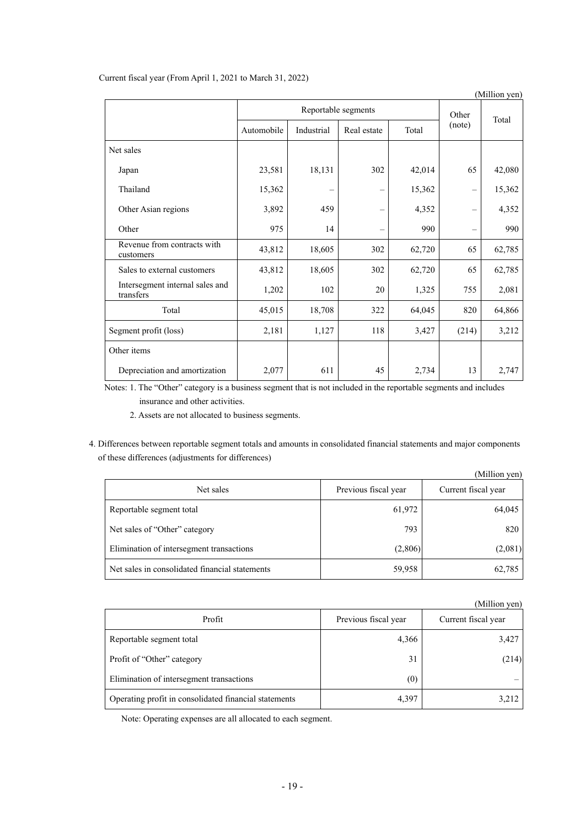|  |  |  | Current fiscal year (From April 1, 2021 to March 31, 2022) |
|--|--|--|------------------------------------------------------------|
|--|--|--|------------------------------------------------------------|

|                                              |            |                     |             |        |        | (Million yen) |
|----------------------------------------------|------------|---------------------|-------------|--------|--------|---------------|
|                                              |            | Reportable segments |             |        |        |               |
|                                              | Automobile | Industrial          | Real estate | Total  | (note) | Total         |
| Net sales                                    |            |                     |             |        |        |               |
| Japan                                        | 23,581     | 18,131              | 302         | 42,014 | 65     | 42,080        |
| Thailand                                     | 15,362     |                     |             | 15,362 |        | 15,362        |
| Other Asian regions                          | 3,892      | 459                 |             | 4,352  |        | 4,352         |
| Other                                        | 975        | 14                  |             | 990    |        | 990           |
| Revenue from contracts with<br>customers     | 43,812     | 18,605              | 302         | 62,720 | 65     | 62,785        |
| Sales to external customers                  | 43,812     | 18,605              | 302         | 62,720 | 65     | 62,785        |
| Intersegment internal sales and<br>transfers | 1,202      | 102                 | 20          | 1,325  | 755    | 2,081         |
| Total                                        | 45,015     | 18,708              | 322         | 64,045 | 820    | 64,866        |
| Segment profit (loss)                        | 2,181      | 1,127               | 118         | 3,427  | (214)  | 3,212         |
| Other items                                  |            |                     |             |        |        |               |
| Depreciation and amortization                | 2,077      | 611                 | 45          | 2,734  | 13     | 2,747         |

Notes: 1. The "Other" category is a business segment that is not included in the reportable segments and includes insurance and other activities.

2. Assets are not allocated to business segments.

4. Differences between reportable segment totals and amounts in consolidated financial statements and major components of these differences (adjustments for differences)

|                                                |                      | (Million yen)       |
|------------------------------------------------|----------------------|---------------------|
| Net sales                                      | Previous fiscal year | Current fiscal year |
| Reportable segment total                       | 61,972               | 64,045              |
| Net sales of "Other" category                  | 793                  | 820                 |
| Elimination of intersegment transactions       | (2,806)              | (2,081)             |
| Net sales in consolidated financial statements | 59,958               | 62,785              |

|                                                       |                      | (Million yen)       |
|-------------------------------------------------------|----------------------|---------------------|
| Profit                                                | Previous fiscal year | Current fiscal year |
| Reportable segment total                              | 4,366                | 3,427               |
| Profit of "Other" category                            | 31                   | (214)               |
| Elimination of intersegment transactions              | (0)                  |                     |
| Operating profit in consolidated financial statements | 4,397                | 3,212               |

Note: Operating expenses are all allocated to each segment.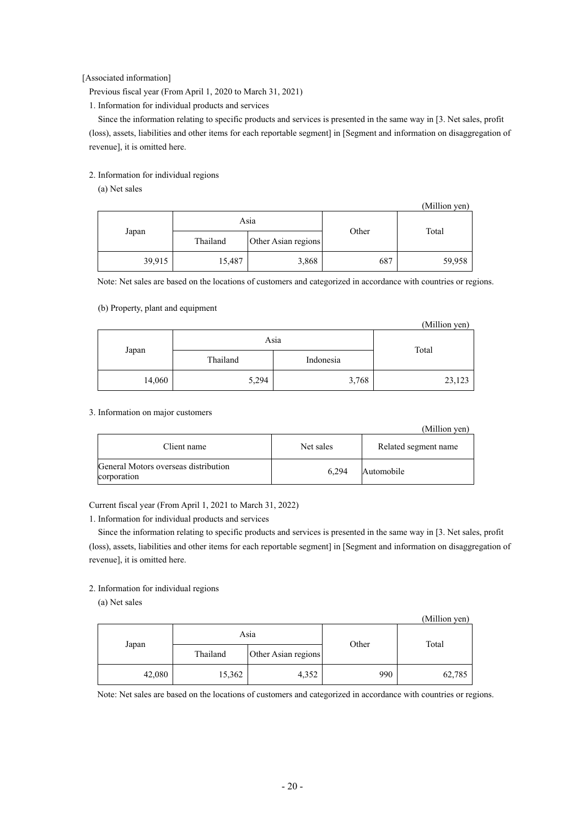[Associated information]

Previous fiscal year (From April 1, 2020 to March 31, 2021)

1. Information for individual products and services

Since the information relating to specific products and services is presented in the same way in [3. Net sales, profit (loss), assets, liabilities and other items for each reportable segment] in [Segment and information on disaggregation of revenue], it is omitted here.

## 2. Information for individual regions

(a) Net sales

|        |          |                     |       | (Million yen) |  |
|--------|----------|---------------------|-------|---------------|--|
|        | Asia     |                     | Other | Total         |  |
| Japan  | Thailand | Other Asian regions |       |               |  |
| 39,915 | 15,487   | 3,868               | 687   | 59,958        |  |

Note: Net sales are based on the locations of customers and categorized in accordance with countries or regions.

## (b) Property, plant and equipment

|        |          |           | (Million yen) |  |
|--------|----------|-----------|---------------|--|
| Asia   |          |           |               |  |
| Japan  | Thailand | Indonesia | Total         |  |
| 14,060 | 5,294    | 3,768     | 23,123        |  |

## 3. Information on major customers

|                                                     |           | (Million yen)        |
|-----------------------------------------------------|-----------|----------------------|
| Client name                                         | Net sales | Related segment name |
| General Motors overseas distribution<br>corporation | 6,294     | Automobile           |

Current fiscal year (From April 1, 2021 to March 31, 2022)

1. Information for individual products and services

Since the information relating to specific products and services is presented in the same way in [3. Net sales, profit (loss), assets, liabilities and other items for each reportable segment] in [Segment and information on disaggregation of revenue], it is omitted here.

### 2. Information for individual regions

(a) Net sales

|        |          |                     |       | (Million yen) |
|--------|----------|---------------------|-------|---------------|
|        | Asia     |                     | Other | Total         |
| Japan  | Thailand | Other Asian regions |       |               |
| 42,080 | 15,362   | 4,352               | 990   | 62,785        |

Note: Net sales are based on the locations of customers and categorized in accordance with countries or regions.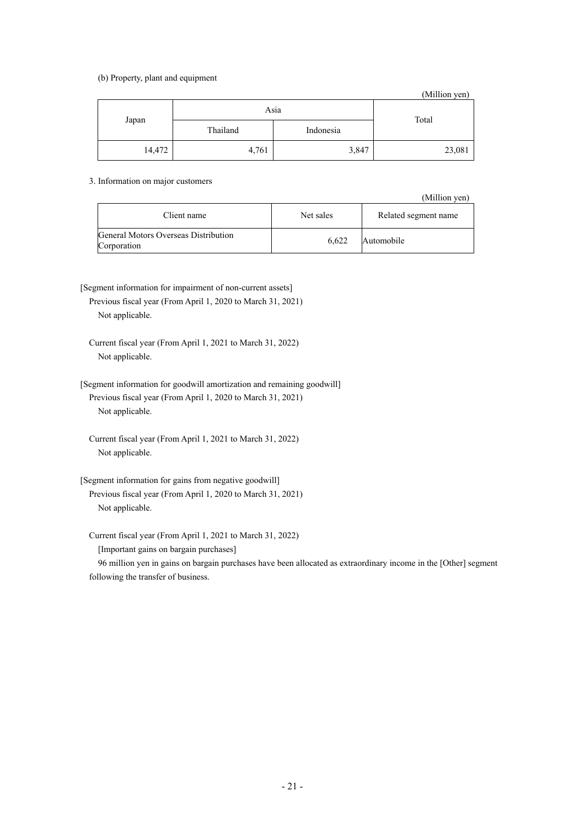### (b) Property, plant and equipment

(Million yen) Japan Asia Total Thailand Indonesia 14,472 4,761 3,847 23,081

3. Information on major customers

(Million yen)

| Client name                                         | Net sales | Related segment name |
|-----------------------------------------------------|-----------|----------------------|
| General Motors Overseas Distribution<br>Corporation | 6.622     | Automobile           |

[Segment information for impairment of non-current assets]

Previous fiscal year (From April 1, 2020 to March 31, 2021) Not applicable.

Current fiscal year (From April 1, 2021 to March 31, 2022) Not applicable.

[Segment information for goodwill amortization and remaining goodwill] Previous fiscal year (From April 1, 2020 to March 31, 2021) Not applicable.

Current fiscal year (From April 1, 2021 to March 31, 2022) Not applicable.

[Segment information for gains from negative goodwill] Previous fiscal year (From April 1, 2020 to March 31, 2021) Not applicable.

Current fiscal year (From April 1, 2021 to March 31, 2022)

[Important gains on bargain purchases]

96 million yen in gains on bargain purchases have been allocated as extraordinary income in the [Other] segment following the transfer of business.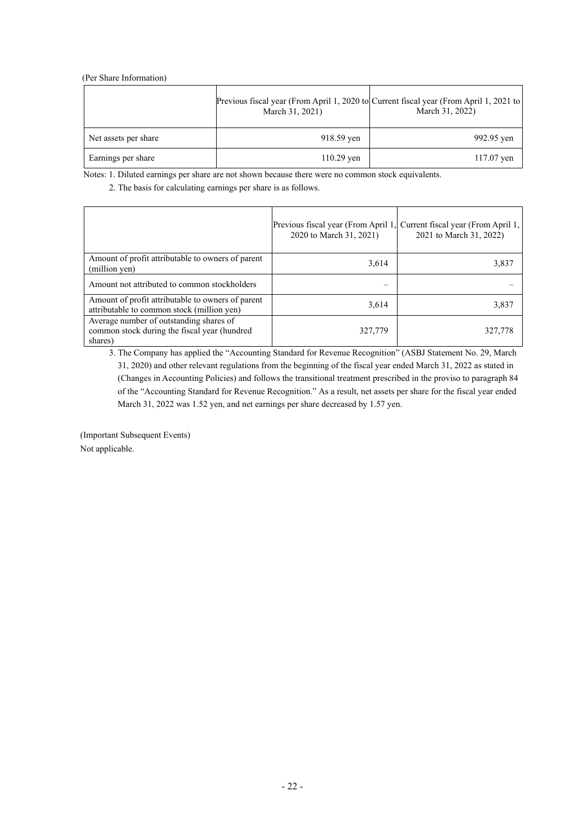### <span id="page-24-0"></span>(Per Share Information)

|                      | Previous fiscal year (From April 1, 2020 to Current fiscal year (From April 1, 2021 to<br>March 31, 2021) | March 31, 2022) |
|----------------------|-----------------------------------------------------------------------------------------------------------|-----------------|
| Net assets per share | 918.59 yen                                                                                                | 992.95 yen      |
| Earnings per share   | $110.29$ yen                                                                                              | $117.07$ yen    |

Notes: 1. Diluted earnings per share are not shown because there were no common stock equivalents.

2. The basis for calculating earnings per share is as follows.

|                                                                                                    | Previous fiscal year (From April 1, Current fiscal year (From April 1,<br>2020 to March 31, 2021) | 2021 to March 31, 2022) |
|----------------------------------------------------------------------------------------------------|---------------------------------------------------------------------------------------------------|-------------------------|
| Amount of profit attributable to owners of parent<br>(million yen)                                 | 3,614                                                                                             | 3,837                   |
| Amount not attributed to common stockholders                                                       |                                                                                                   |                         |
| Amount of profit attributable to owners of parent<br>attributable to common stock (million yen)    | 3,614                                                                                             | 3.837                   |
| Average number of outstanding shares of<br>common stock during the fiscal year (hundred<br>shares) | 327,779                                                                                           | 327,778                 |

3. The Company has applied the "Accounting Standard for Revenue Recognition" (ASBJ Statement No. 29, March 31, 2020) and other relevant regulations from the beginning of the fiscal year ended March 31, 2022 as stated in (Changes in Accounting Policies) and follows the transitional treatment prescribed in the proviso to paragraph 84 of the "Accounting Standard for Revenue Recognition." As a result, net assets per share for the fiscal year ended March 31, 2022 was 1.52 yen, and net earnings per share decreased by 1.57 yen.

<span id="page-24-1"></span>(Important Subsequent Events) Not applicable.